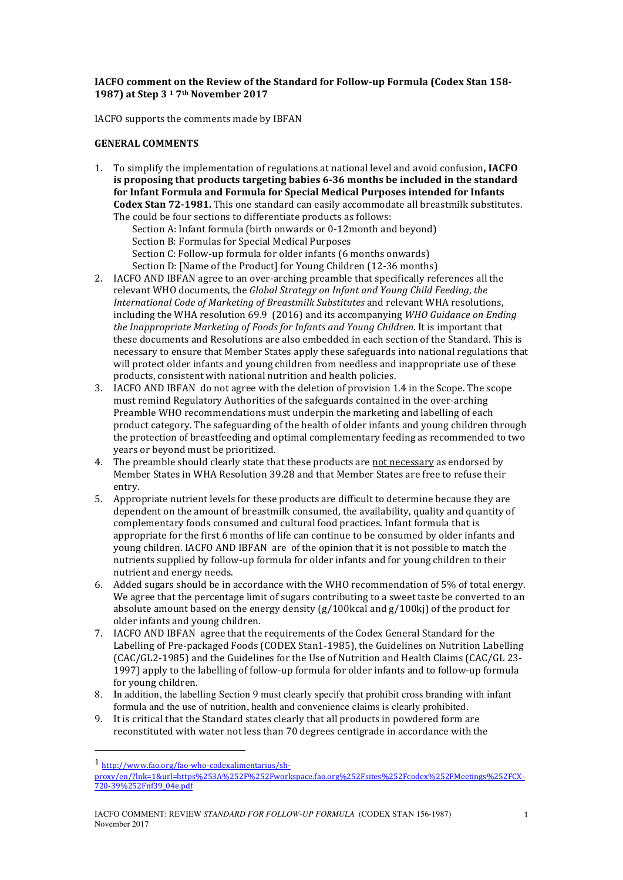## **IACFO comment on the Review of the Standard for Follow-up Formula (Codex Stan 158-1987) at Step 3 <sup>1</sup> 7th November 2017**

IACFO supports the comments made by IBFAN

## **GENERAL COMMENTS**

1. To simplify the implementation of regulations at national level and avoid confusion, IACFO **is proposing that products targeting babies 6-36 months be included in the standard** for Infant Formula and Formula for Special Medical Purposes intended for Infants **Codex Stan 72-1981.** This one standard can easily accommodate all breastmilk substitutes. The could be four sections to differentiate products as follows:

Section A: Infant formula (birth onwards or 0-12month and beyond) Section B: Formulas for Special Medical Purposes Section C: Follow-up formula for older infants (6 months onwards) Section D: [Name of the Product] for Young Children (12-36 months)

- 2. IACFO AND IBFAN agree to an over-arching preamble that specifically references all the relevant WHO documents, the *Global Strategy on Infant and Young Child Feeding*, *the International Code of Marketing of Breastmilk Substitutes* and relevant WHA resolutions, including the WHA resolution 69.9 (2016) and its accompanying *WHO Guidance on Ending* the Inappropriate Marketing of Foods for Infants and Young Children. It is important that these documents and Resolutions are also embedded in each section of the Standard. This is necessary to ensure that Member States apply these safeguards into national regulations that will protect older infants and young children from needless and inappropriate use of these products, consistent with national nutrition and health policies.
- 3. IACFO AND IBFAN do not agree with the deletion of provision 1.4 in the Scope. The scope must remind Regulatory Authorities of the safeguards contained in the over-arching Preamble WHO recommendations must underpin the marketing and labelling of each product category. The safeguarding of the health of older infants and young children through the protection of breastfeeding and optimal complementary feeding as recommended to two years or beyond must be prioritized.
- 4. The preamble should clearly state that these products are not necessary as endorsed by Member States in WHA Resolution 39.28 and that Member States are free to refuse their entry.
- 5. Appropriate nutrient levels for these products are difficult to determine because they are dependent on the amount of breastmilk consumed, the availability, quality and quantity of complementary foods consumed and cultural food practices. Infant formula that is appropriate for the first 6 months of life can continue to be consumed by older infants and young children. IACFO AND IBFAN are of the opinion that it is not possible to match the nutrients supplied by follow-up formula for older infants and for young children to their nutrient and energy needs.
- 6. Added sugars should be in accordance with the WHO recommendation of 5% of total energy. We agree that the percentage limit of sugars contributing to a sweet taste be converted to an absolute amount based on the energy density  $(g/100kcal)$  and  $g/100ki$ ) of the product for older infants and young children.
- 7. IACFO AND IBFAN agree that the requirements of the Codex General Standard for the Labelling of Pre-packaged Foods (CODEX Stan1-1985), the Guidelines on Nutrition Labelling  $(CAC/GL2-1985)$  and the Guidelines for the Use of Nutrition and Health Claims  $(CAC/GL 23-12)$ 1997) apply to the labelling of follow-up formula for older infants and to follow-up formula for young children.
- 8. In addition, the labelling Section 9 must clearly specify that prohibit cross branding with infant formula and the use of nutrition, health and convenience claims is clearly prohibited.
- 9. It is critical that the Standard states clearly that all products in powdered form are reconstituted with water not less than 70 degrees centigrade in accordance with the

 

<sup>1</sup> http://www.fao.org/fao-who-codexalimentarius/sh-

proxy/en/?lnk=1&url=https%253A%252F%252Fworkspace.fao.org%252Fsites%252Fcodex%252FMeetings%252FCX-720-39%252Fnf39\_04e.pdf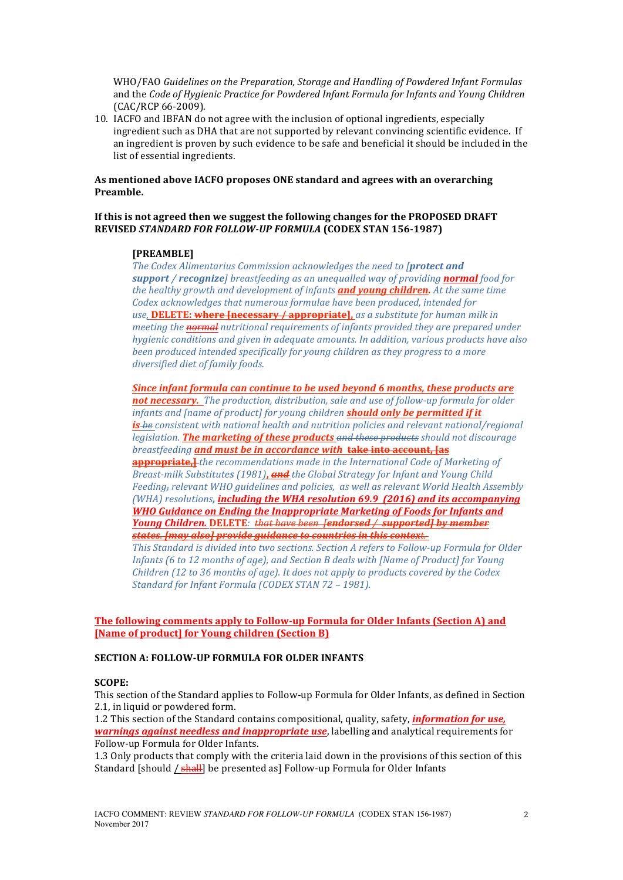WHO/FAO Guidelines on the Preparation, Storage and Handling of Powdered Infant Formulas and the *Code of Hygienic Practice for Powdered Infant Formula for Infants and Young Children* (CAC/RCP 66-2009).

10. IACFO and IBFAN do not agree with the inclusion of optional ingredients, especially ingredient such as DHA that are not supported by relevant convincing scientific evidence. If an ingredient is proven by such evidence to be safe and beneficial it should be included in the list of essential ingredients.

## As mentioned above IACFO proposes ONE standard and agrees with an overarching **Preamble.**

## If this is not agreed then we suggest the following changes for the PROPOSED DRAFT **REVISED STANDARD FOR FOLLOW-UP FORMULA (CODEX STAN 156-1987)**

## **[PREAMBLE]**

The Codex Alimentarius Commission acknowledges the need to [protect and *support* / *recognize breastfeeding* as an unequalled way of providing **normal** food for *the healthy growth and development of infants and voung children. At the same time* Codex acknowledges that numerous formulae have been produced, intended for use, **DELETE:** where [necessary / appropriate], *as a substitute for human milk in meeting the normal nutritional requirements of infants provided they are prepared under hygienic conditions and given in adequate amounts. In addition, various products have also been produced intended specifically for young children as they progress to a more diversified diet of family foods.*

*Since infant formula can continue to be used beyond 6 months, these products are* not necessary. The production, distribution, sale and use of follow-up formula for older *infants and [name of product] for young children should only be permitted if it is-be* consistent with national health and nutrition policies and relevant national/regional *legislation*. **The marketing of these products** and these products should not discourage *breastfeeding* **and must be in accordance with take into account, [as appropriate,** *the recommendations made in the International Code of Marketing of Breast-milk Substitutes* (1981), and the Global Strategy for Infant and Young Child *Feeding*<sub>*r*</sub> *relevant WHO guidelines and policies, as well as relevant World Health Assembly (WHA)* resolutions, **including the WHA resolution 69.9 (2016)** and its accompanying **WHO** Guidance on Ending the Inappropriate Marketing of Foods for Infants and *Young* Children. DELETE: that have been *fendorsed / supported]* by member *states. [may also] provide guidance to countries in this context.* This Standard is divided into two sections. Section A refers to Follow-up Formula for Older

*Infants* (6 to 12 months of age), and Section B deals with [Name of Product] for Young *Children* (12 to 36 months of age). It does not apply to products covered by the Codex *Standard for Infant Formula (CODEX STAN 72 - 1981).* 

## **The following comments apply to Follow-up Formula for Older Infants (Section A) and [Name of product] for Young children (Section B)**

## **SECTION A: FOLLOW-UP FORMULA FOR OLDER INFANTS**

#### **SCOPE:**

This section of the Standard applies to Follow-up Formula for Older Infants, as defined in Section 2.1, in liquid or powdered form.

1.2 This section of the Standard contains compositional, quality, safety, *information for use*. *warnings against needless and inappropriate use*, labelling and analytical requirements for Follow-up Formula for Older Infants.

1.3 Only products that comply with the criteria laid down in the provisions of this section of this Standard [should / shall] be presented as] Follow-up Formula for Older Infants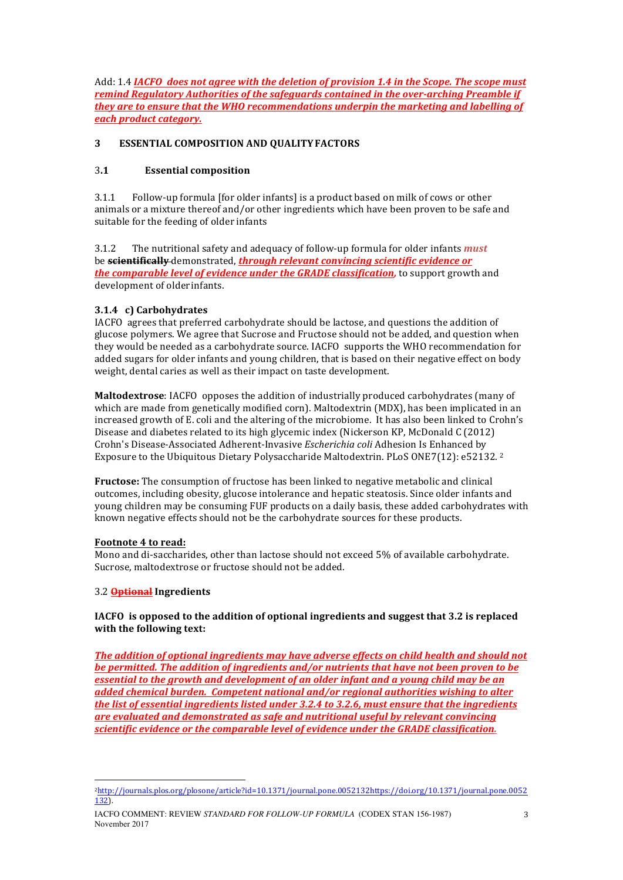Add: 1.4 *IACFO* does not agree with the deletion of provision 1.4 in the Scope. The scope must *remind Regulatory Authorities of the safeguards contained in the over-arching Preamble if they are to ensure that the WHO recommendations underpin the marketing and labelling of each product category.*

# **3 ESSENTIAL COMPOSITION AND QUALITY FACTORS**

# 3**.1 Essential composition**

3.1.1 Follow-up formula [for older infants] is a product based on milk of cows or other animals or a mixture thereof and/or other ingredients which have been proven to be safe and suitable for the feeding of older infants

3.1.2 The nutritional safety and adequacy of follow-up formula for older infants *must* be **scientifically** demonstrated, *through relevant convincing scientific evidence or the comparable level of evidence under the GRADE classification,* **to support growth and** development of older infants.

# **3.1.4 c) Carbohydrates**

IACFO agrees that preferred carbohydrate should be lactose, and questions the addition of glucose polymers. We agree that Sucrose and Fructose should not be added, and question when they would be needed as a carbohydrate source. IACFO supports the WHO recommendation for added sugars for older infants and young children, that is based on their negative effect on body weight, dental caries as well as their impact on taste development.

**Maltodextrose**: IACFO opposes the addition of industrially produced carbohydrates (many of which are made from genetically modified corn). Maltodextrin (MDX), has been implicated in an increased growth of E, coli and the altering of the microbiome. It has also been linked to Crohn's Disease and diabetes related to its high glycemic index (Nickerson KP, McDonald C (2012) Crohn's Disease-Associated Adherent-Invasive *Escherichia coli* Adhesion Is Enhanced by Exposure to the Ubiquitous Dietary Polysaccharide Maltodextrin. PLoS ONE7(12):  $e52132.$ <sup>2</sup>

**Fructose:** The consumption of fructose has been linked to negative metabolic and clinical outcomes, including obesity, glucose intolerance and hepatic steatosis. Since older infants and young children may be consuming FUF products on a daily basis, these added carbohydrates with known negative effects should not be the carbohydrate sources for these products.

# Footnote 4 to read:

Mono and di-saccharides, other than lactose should not exceed 5% of available carbohydrate. Sucrose, maltodextrose or fructose should not be added.

# 3.2 **Optional Ingredients**

 

**IACFO** is opposed to the addition of optional ingredients and suggest that 3.2 is replaced **with the following text:** 

**The addition of optional ingredients may have adverse effects on child health and should not** *be permitted. The addition of ingredients and/or nutrients that have not been proven to be essential to the growth and development of an older infant and a young child may be an added chemical burden. Competent national and/or regional authorities wishing to alter the list of essential ingredients listed under 3.2.4 to 3.2.6, must ensure that the ingredients are evaluated and demonstrated as safe and nutritional useful by relevant convincing scientific evidence or the comparable level of evidence under the GRADE classification.* 

<sup>2</sup>http://journals.plos.org/plosone/article?id=10.1371/journal.pone.0052132https://doi.org/10.1371/journal.pone.0052 132).

IACFO COMMENT: REVIEW *STANDARD FOR FOLLOW-UP FORMULA* (CODEX STAN 156-1987) November 2017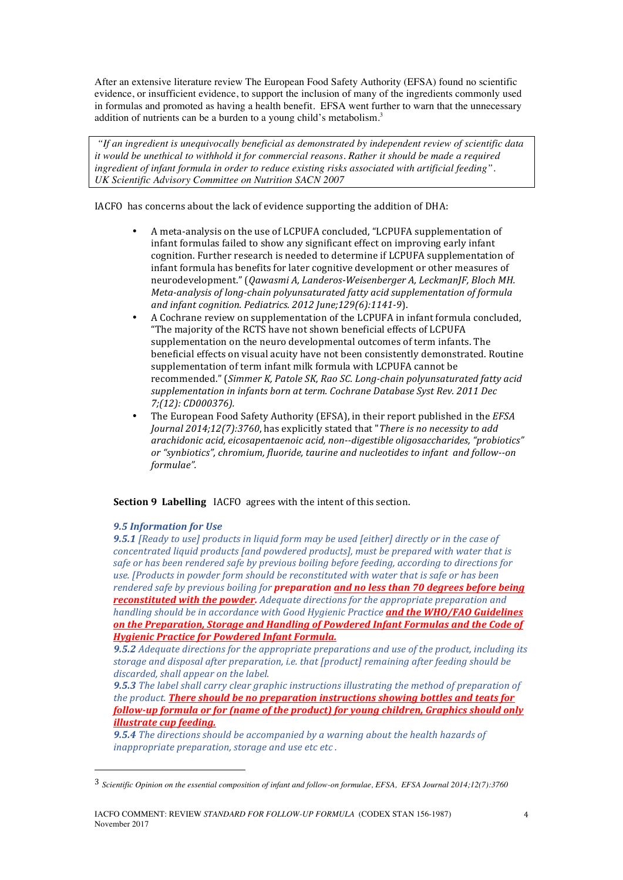After an extensive literature review The European Food Safety Authority (EFSA) found no scientific evidence, or insufficient evidence, to support the inclusion of many of the ingredients commonly used in formulas and promoted as having a health benefit. EFSA went further to warn that the unnecessary addition of nutrients can be a burden to a young child's metabolism.<sup>3</sup>

*"If an ingredient is unequivocally beneficial as demonstrated by independent review of scientific data it would be unethical to withhold it for commercial reasons. Rather it should be made a required ingredient of infant formula in order to reduce existing risks associated with artificial feeding". UK Scientific Advisory Committee on Nutrition SACN 2007* 

IACFO has concerns about the lack of evidence supporting the addition of DHA:

- A meta-analysis on the use of LCPUFA concluded, "LCPUFA supplementation of infant formulas failed to show any significant effect on improving early infant cognition. Further research is needed to determine if LCPUFA supplementation of infant formula has benefits for later cognitive development or other measures of neurodevelopment." (Qawasmi A, Landeros-Weisenberger A, LeckmanJF, Bloch MH. *Meta-analysis of long-chain polyunsaturated fatty acid supplementation of formula and infant cognition. Pediatrics. 2012 June;129(6):1141-9).*
- A Cochrane review on supplementation of the LCPUFA in infant formula concluded. "The majority of the RCTS have not shown beneficial effects of LCPUFA supplementation on the neuro developmental outcomes of term infants. The beneficial effects on visual acuity have not been consistently demonstrated. Routine supplementation of term infant milk formula with LCPUFA cannot be recommended." (Simmer K, Patole SK, Rao SC. Long-chain polyunsaturated fatty acid supplementation in infants born at term. Cochrane Database Syst Rev. 2011 Dec *7;(12): CD000376).*
- The European Food Safety Authority (EFSA), in their report published in the *EFSA Journal* 2014;12(7):3760, has explicitly stated that "There is no necessity to add arachidonic acid, eicosapentaenoic acid, non--digestible oligosaccharides, "probiotics" or "synbiotics", chromium, fluoride, taurine and *nucleotides* to infant and follow--on *formulae".*

# **Section 9 Labelling** IACFO agrees with the intent of this section.

### *9.5 Information for Use*

 

**9.5.1** [Ready to use] products in liquid form may be used [either] directly or in the case of *concentrated liquid products [and powdered products], must be prepared with water that is safe or has been rendered safe by previous boiling before feeding, according to directions for* use. [Products in powder form should be reconstituted with water that is safe or has been *rendered safe by previous boiling for preparation and no less than 70 degrees before being reconstituted with the powder.* Adequate directions for the appropriate preparation and *handling should be in accordance with Good Hygienic Practice and the WHO/FAO Guidelines* on the Preparation, Storage and Handling of Powdered Infant Formulas and the Code of *Hygienic Practice for Powdered Infant Formula.*

**9.5.2** Adequate directions for the appropriate preparations and use of the product, including its storage and disposal after preparation, *i.e.* that [product] remaining after feeding should be discarded, shall appear on the label.

**9.5.3** The label shall carry clear graphic instructions illustrating the method of preparation of *the product.* **There should be no preparation instructions showing bottles and teats for** *follow-up formula or for (name of the product) for young children, Graphics should only illustrate cup feeding.* 

**9.5.4** The directions should be accompanied by a warning about the health hazards of *inappropriate preparation, storage and use etc etc.* 

<sup>3</sup> *Scientific Opinion on the essential composition of infant and follow-on formulae, EFSA, EFSA Journal 2014;12(7):3760*